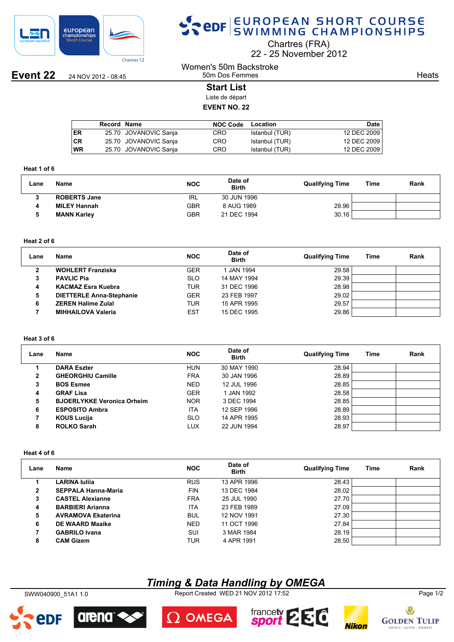

# SPOR EUROPEAN SHORT COURSE

Chartres (FRA)

22 25 November 2012

**Event 22** 24 NOV 2012 - 08:45

#### Women's 50m Backstroke 50m Dos Femmes

**Heats** 

#### **Start List**

Liste de départ

### **EVENT NO. 22**

|           | Record Name |                       | <b>NOC Code</b> Location |                | Date i      |
|-----------|-------------|-----------------------|--------------------------|----------------|-------------|
| ER        |             | 25.70 JOVANOVIC Sanja | CRO.                     | Istanbul (TUR) | 12 DEC 2009 |
| <b>CR</b> |             | 25.70 JOVANOVIC Sanja | CRO.                     | Istanbul (TUR) | 12 DEC 2009 |
| <b>WR</b> |             | 25.70 JOVANOVIC Sanja | <b>CRO</b>               | Istanbul (TUR) | 12 DEC 2009 |
|           |             |                       |                          |                |             |

#### **Heat 1 of 6**

| Lane | <b>Name</b>         | <b>NOC</b> | Date of<br><b>Birth</b> | <b>Qualifying Time</b> | Time | Rank |
|------|---------------------|------------|-------------------------|------------------------|------|------|
| 3    | <b>ROBERTS Jane</b> | IRL        | 30 JUN 1996             |                        |      |      |
|      | <b>MILEY Hannah</b> | GBR        | 8 AUG 1989              | 29.96                  |      |      |
|      | <b>MANN Karley</b>  | GBR        | 21 DEC 1994             | 30.16                  |      |      |

#### **Heat 2 of 6**

| Lane | <b>Name</b>                     | <b>NOC</b> | Date of<br><b>Birth</b> | <b>Qualifying Time</b> | Time | Rank |
|------|---------------------------------|------------|-------------------------|------------------------|------|------|
| າ    | <b>WOHLERT Franziska</b>        | <b>GER</b> | I JAN 1994              | 29.58                  |      |      |
| 3    | <b>PAVLIC Pia</b>               | <b>SLO</b> | 14 MAY 1994             | 29.39                  |      |      |
| 4    | <b>KACMAZ Esra Kuebra</b>       | <b>TUR</b> | 31 DEC 1996             | 28.98                  |      |      |
| 5    | <b>DIETTERLE Anna-Stephanie</b> | <b>GER</b> | 23 FEB 1997             | 29.02                  |      |      |
| 6    | <b>ZEREN Halime Zulal</b>       | <b>TUR</b> | 15 APR 1995             | 29.57                  |      |      |
|      | <b>MIHHAILOVA Valeria</b>       | <b>EST</b> | 15 DEC 1995             | 29.86                  |      |      |

#### **Heat 3 of 6**

| Lane | Name                              | <b>NOC</b> | Date of<br><b>Birth</b> | <b>Qualifying Time</b> | Time | Rank |
|------|-----------------------------------|------------|-------------------------|------------------------|------|------|
|      | <b>DARA Eszter</b>                | <b>HUN</b> | 30 MAY 1990             | 28.94                  |      |      |
| 2    | <b>GHEORGHIU Camille</b>          | <b>FRA</b> | 30 JAN 1996             | 28.89                  |      |      |
| 3    | <b>BOS Esmee</b>                  | <b>NED</b> | 12 JUL 1996             | 28.85                  |      |      |
| 4    | <b>GRAF Lisa</b>                  | <b>GER</b> | 1 JAN 1992              | 28.58                  |      |      |
| 5    | <b>BJOERLYKKE Veronica Orheim</b> | <b>NOR</b> | 3 DEC 1994              | 28.85                  |      |      |
| 6    | <b>ESPOSITO Ambra</b>             | <b>ITA</b> | 12 SEP 1996             | 28.89                  |      |      |
| 7    | <b>KOUS Lucija</b>                | <b>SLO</b> | 14 APR 1995             | 28.93                  |      |      |
| 8    | <b>ROLKO Sarah</b>                | LUX        | 22 JUN 1994             | 28.97                  |      |      |

#### **Heat 4 of 6**

| Lane           | Name                       | <b>NOC</b> | Date of<br><b>Birth</b> | <b>Qualifying Time</b> | Time | Rank |
|----------------|----------------------------|------------|-------------------------|------------------------|------|------|
|                | <b>LARINA Iulija</b>       | <b>RUS</b> | 13 APR 1996             | 28.43                  |      |      |
| $\overline{2}$ | <b>SEPPALA Hanna-Maria</b> | <b>FIN</b> | 13 DEC 1984             | 28.02                  |      |      |
| 3              | <b>CASTEL Alexianne</b>    | <b>FRA</b> | 25 JUL 1990             | 27.70                  |      |      |
| 4              | <b>BARBIERI Arianna</b>    | <b>ITA</b> | 23 FEB 1989             | 27.09                  |      |      |
| 5              | <b>AVRAMOVA Ekaterina</b>  | <b>BUL</b> | 12 NOV 1991             | 27.30                  |      |      |
| 6              | DE WAARD Maaike            | <b>NED</b> | 11 OCT 1996             | 27.84                  |      |      |
| 7              | <b>GABRILO Ivana</b>       | SUI        | 3 MAR 1984              | 28.19                  |      |      |
| 8              | <b>CAM Gizem</b>           | TUR        | 4 APR 1991              | 28.50                  |      |      |

## *Timing & Data Handling by OMEGA*

SWW040900\_51A1 1.0 Report Created WED 21 NOV 2012 17:52 Page 1/2